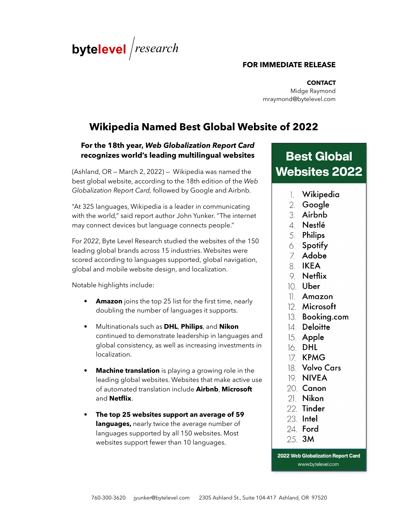

### **FOR IMMEDIATE RELEASE**

**CONTACT** Midge Raymond mraymond@bytelevel.com

# **Wikipedia Named Best Global Website of 2022**

# **For the 18th year,** *Web Globalization Report Card* **recognizes world's leading multilingual websites**

(Ashland, OR — March 2, 2022) — Wikipedia was named the best global website, according to the 18th edition of the *Web Globalization Report Card,* followed by Google and Airbnb.

"At 325 languages, Wikipedia is a leader in communicating with the world," said report author John Yunker. "The internet may connect devices but language connects people."

For 2022, Byte Level Research studied the websites of the 150 leading global brands across 15 industries. Websites were scored according to languages supported, global navigation, global and mobile website design, and localization.

Notable highlights include:

- **Amazon** joins the top 25 list for the first time, nearly doubling the number of languages it supports.
- Multinationals such as **DHL**, **Philips**, and **Nikon** continued to demonstrate leadership in languages and global consistency, as well as increasing investments in localization.
- **Machine translation** is playing a growing role in the leading global websites. Websites that make active use of automated translation include **Airbnb**, **Microsoft** and **Netflix**.
- **The top 25 websites support an average of 59 languages,** nearly twice the average number of languages supported by all 150 websites. Most websites support fewer than 10 languages.

**Best Global Websites 2022** 

- 1. Wikipedia
- 2. Google
- 3. Airbnb
- $4$  Nestlé
- 5. Philips
- 6. Spotify
- 7. Adobe
- 8 IKEA
- $9$  Netflix
- 10. **Uber**
- 11 Amazon
- 12. Microsoft
- 13. Booking.com
- 14. Deloitte
- 15. Apple
- 16 DHL
- 17 KPMG
- 18 Volvo Cars
- 19. NIVEA
- 20. Canon
- $21$  Nikon
- 22. Tinder
- 23. Intel
- 24. Ford
- 25. 3M

2022 Web Globalization Report Card www.bytelevel.com